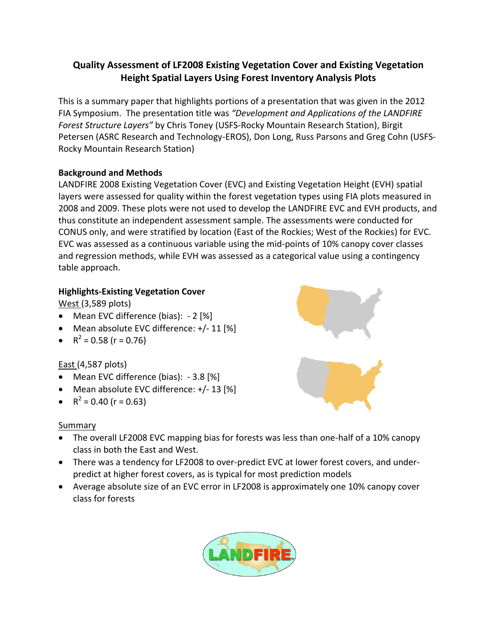# **Quality Assessment of LF2008 Existing Vegetation Cover and Existing Vegetation Height Spatial Layers Using Forest Inventory Analysis Plots**

This is a summary paper that highlights portions of a presentation that was given in the 2012 FIA Symposium. The presentation title was *"Development and Applications of the LANDFIRE Forest Structure Layers"* by Chris Toney (USFS-Rocky Mountain Research Station), Birgit Petersen (ASRC Research and Technology-EROS), Don Long, Russ Parsons and Greg Cohn (USFS-Rocky Mountain Research Station)

## **Background and Methods**

LANDFIRE 2008 Existing Vegetation Cover (EVC) and Existing Vegetation Height (EVH) spatial layers were assessed for quality within the forest vegetation types using FIA plots measured in 2008 and 2009. These plots were not used to develop the LANDFIRE EVC and EVH products, and thus constitute an independent assessment sample. The assessments were conducted for CONUS only, and were stratified by location (East of the Rockies; West of the Rockies) for EVC. EVC was assessed as a continuous variable using the mid-points of 10% canopy cover classes and regression methods, while EVH was assessed as a categorical value using a contingency table approach.

## **Highlights-Existing Vegetation Cover**

West (3,589 plots)

- Mean EVC difference (bias): 2 [%]
- Mean absolute EVC difference: +/- 11 [%]
- $R^2 = 0.58$  (r = 0.76)

## East (4,587 plots)

- Mean EVC difference (bias): 3.8 [%]
- Mean absolute EVC difference: +/- 13 [%]
- $R^2 = 0.40$  (r = 0.63)

## **Summary**

- The overall LF2008 EVC mapping bias for forests was less than one-half of a 10% canopy class in both the East and West.
- There was a tendency for LF2008 to over-predict EVC at lower forest covers, and underpredict at higher forest covers, as is typical for most prediction models
- Average absolute size of an EVC error in LF2008 is approximately one 10% canopy cover class for forests